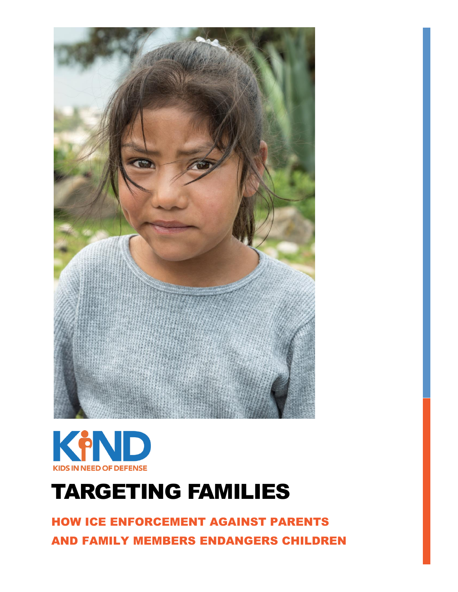



# TARGETING FAMILIES

HOW ICE ENFORCEMENT AGAINST PARENTS AND FAMILY MEMBERS ENDANGERS CHILDREN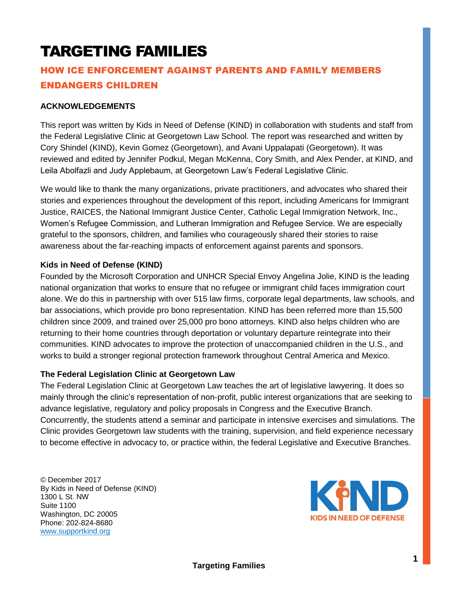# TARGETING FAMILIES

# HOW ICE ENFORCEMENT AGAINST PARENTS AND FAMILY MEMBERS ENDANGERS CHILDREN

### **ACKNOWLEDGEMENTS**

This report was written by Kids in Need of Defense (KIND) in collaboration with students and staff from the Federal Legislative Clinic at Georgetown Law School. The report was researched and written by Cory Shindel (KIND), Kevin Gomez (Georgetown), and Avani Uppalapati (Georgetown). It was reviewed and edited by Jennifer Podkul, Megan McKenna, Cory Smith, and Alex Pender, at KIND, and Leila Abolfazli and Judy Applebaum, at Georgetown Law's Federal Legislative Clinic.

We would like to thank the many organizations, private practitioners, and advocates who shared their stories and experiences throughout the development of this report, including Americans for Immigrant Justice, RAICES, the National Immigrant Justice Center, Catholic Legal Immigration Network, Inc., Women's Refugee Commission, and Lutheran Immigration and Refugee Service. We are especially grateful to the sponsors, children, and families who courageously shared their stories to raise awareness about the far-reaching impacts of enforcement against parents and sponsors.

#### **Kids in Need of Defense (KIND)**

Founded by the Microsoft Corporation and UNHCR Special Envoy Angelina Jolie, KIND is the leading national organization that works to ensure that no refugee or immigrant child faces immigration court alone. We do this in partnership with over 515 law firms, corporate legal departments, law schools, and bar associations, which provide pro bono representation. KIND has been referred more than 15,500 children since 2009, and trained over 25,000 pro bono attorneys. KIND also helps children who are returning to their home countries through deportation or voluntary departure reintegrate into their communities. KIND advocates to improve the protection of unaccompanied children in the U.S., and works to build a stronger regional protection framework throughout Central America and Mexico.

#### **The Federal Legislation Clinic at Georgetown Law**

The Federal Legislation Clinic at Georgetown Law teaches the art of legislative lawyering. It does so mainly through the clinic's representation of non-profit, public interest organizations that are seeking to advance legislative, regulatory and policy proposals in Congress and the Executive Branch. Concurrently, the students attend a seminar and participate in intensive exercises and simulations. The Clinic provides Georgetown law students with the training, supervision, and field experience necessary to become effective in advocacy to, or practice within, the federal Legislative and Executive Branches.

© December 2017 By Kids in Need of Defense (KIND) 1300 L St. NW Suite 1100 Washington, DC 20005 Phone: 202-824-8680 [www.supportkind.org](http://www.supportkind.org/)

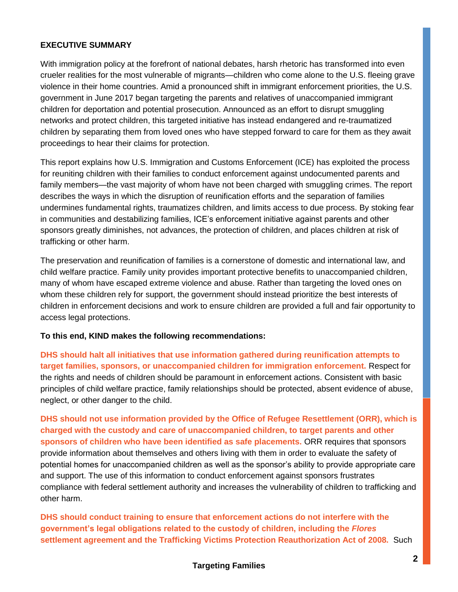# **EXECUTIVE SUMMARY**

With immigration policy at the forefront of national debates, harsh rhetoric has transformed into even crueler realities for the most vulnerable of migrants—children who come alone to the U.S. fleeing grave violence in their home countries. Amid a pronounced shift in immigrant enforcement priorities, the U.S. government in June 2017 began targeting the parents and relatives of unaccompanied immigrant children for deportation and potential prosecution. Announced as an effort to disrupt smuggling networks and protect children, this targeted initiative has instead endangered and re-traumatized children by separating them from loved ones who have stepped forward to care for them as they await proceedings to hear their claims for protection.

This report explains how U.S. Immigration and Customs Enforcement (ICE) has exploited the process for reuniting children with their families to conduct enforcement against undocumented parents and family members—the vast majority of whom have not been charged with smuggling crimes. The report describes the ways in which the disruption of reunification efforts and the separation of families undermines fundamental rights, traumatizes children, and limits access to due process. By stoking fear in communities and destabilizing families, ICE's enforcement initiative against parents and other sponsors greatly diminishes, not advances, the protection of children, and places children at risk of trafficking or other harm.

The preservation and reunification of families is a cornerstone of domestic and international law, and child welfare practice. Family unity provides important protective benefits to unaccompanied children, many of whom have escaped extreme violence and abuse. Rather than targeting the loved ones on whom these children rely for support, the government should instead prioritize the best interests of children in enforcement decisions and work to ensure children are provided a full and fair opportunity to access legal protections.

#### **To this end, KIND makes the following recommendations:**

**DHS should halt all initiatives that use information gathered during reunification attempts to target families, sponsors, or unaccompanied children for immigration enforcement.** Respect for the rights and needs of children should be paramount in enforcement actions. Consistent with basic principles of child welfare practice, family relationships should be protected, absent evidence of abuse, neglect, or other danger to the child.

**DHS should not use information provided by the Office of Refugee Resettlement (ORR), which is charged with the custody and care of unaccompanied children, to target parents and other sponsors of children who have been identified as safe placements.** ORR requires that sponsors provide information about themselves and others living with them in order to evaluate the safety of potential homes for unaccompanied children as well as the sponsor's ability to provide appropriate care and support. The use of this information to conduct enforcement against sponsors frustrates compliance with federal settlement authority and increases the vulnerability of children to trafficking and other harm.

**DHS should conduct training to ensure that enforcement actions do not interfere with the government's legal obligations related to the custody of children, including the** *Flores*  **settlement agreement and the Trafficking Victims Protection Reauthorization Act of 2008.** Such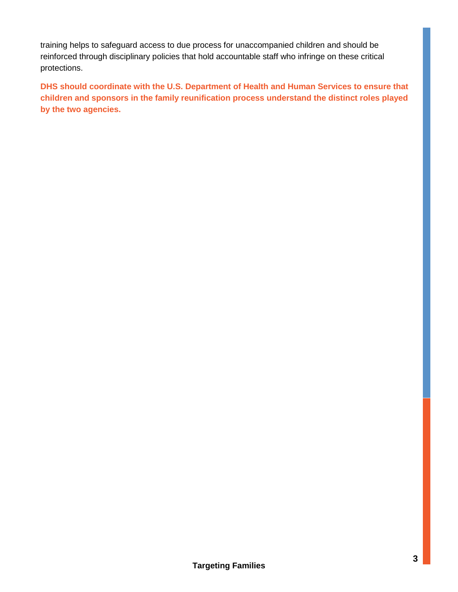training helps to safeguard access to due process for unaccompanied children and should be reinforced through disciplinary policies that hold accountable staff who infringe on these critical protections.

**DHS should coordinate with the U.S. Department of Health and Human Services to ensure that children and sponsors in the family reunification process understand the distinct roles played by the two agencies.**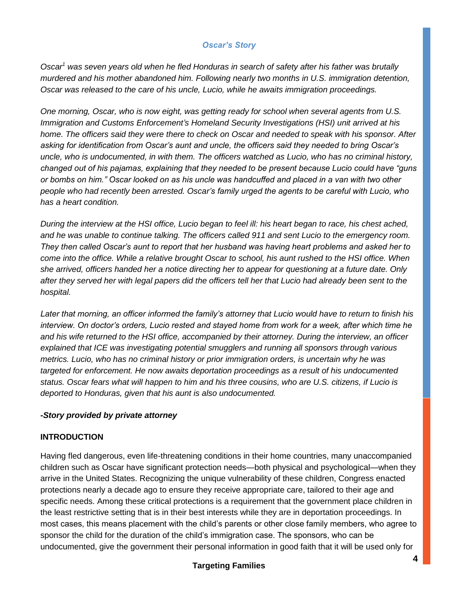# *Oscar's Story*

*Oscar<sup>1</sup> was seven years old when he fled Honduras in search of safety after his father was brutally murdered and his mother abandoned him. Following nearly two months in U.S. immigration detention, Oscar was released to the care of his uncle, Lucio, while he awaits immigration proceedings.* 

*One morning, Oscar, who is now eight, was getting ready for school when several agents from U.S. Immigration and Customs Enforcement's Homeland Security Investigations (HSI) unit arrived at his home. The officers said they were there to check on Oscar and needed to speak with his sponsor. After asking for identification from Oscar's aunt and uncle, the officers said they needed to bring Oscar's uncle, who is undocumented, in with them. The officers watched as Lucio, who has no criminal history, changed out of his pajamas, explaining that they needed to be present because Lucio could have "guns or bombs on him." Oscar looked on as his uncle was handcuffed and placed in a van with two other people who had recently been arrested. Oscar's family urged the agents to be careful with Lucio, who has a heart condition.*

*During the interview at the HSI office, Lucio began to feel ill: his heart began to race, his chest ached, and he was unable to continue talking. The officers called 911 and sent Lucio to the emergency room. They then called Oscar's aunt to report that her husband was having heart problems and asked her to come into the office. While a relative brought Oscar to school, his aunt rushed to the HSI office. When she arrived, officers handed her a notice directing her to appear for questioning at a future date. Only after they served her with legal papers did the officers tell her that Lucio had already been sent to the hospital.* 

*Later that morning, an officer informed the family's attorney that Lucio would have to return to finish his interview. On doctor's orders, Lucio rested and stayed home from work for a week, after which time he and his wife returned to the HSI office, accompanied by their attorney. During the interview, an officer explained that ICE was investigating potential smugglers and running all sponsors through various metrics. Lucio, who has no criminal history or prior immigration orders, is uncertain why he was targeted for enforcement. He now awaits deportation proceedings as a result of his undocumented status. Oscar fears what will happen to him and his three cousins, who are U.S. citizens, if Lucio is deported to Honduras, given that his aunt is also undocumented.* 

# *-Story provided by private attorney*

#### **INTRODUCTION**

Having fled dangerous, even life-threatening conditions in their home countries, many unaccompanied children such as Oscar have significant protection needs—both physical and psychological—when they arrive in the United States. Recognizing the unique vulnerability of these children, Congress enacted protections nearly a decade ago to ensure they receive appropriate care, tailored to their age and specific needs. Among these critical protections is a requirement that the government place children in the least restrictive setting that is in their best interests while they are in deportation proceedings. In most cases, this means placement with the child's parents or other close family members, who agree to sponsor the child for the duration of the child's immigration case. The sponsors, who can be undocumented, give the government their personal information in good faith that it will be used only for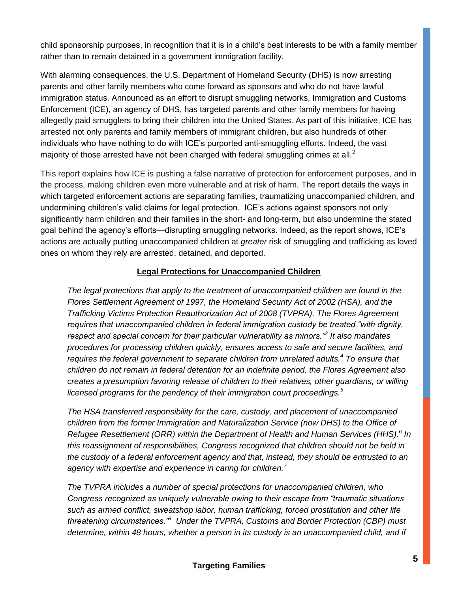child sponsorship purposes, in recognition that it is in a child's best interests to be with a family member rather than to remain detained in a government immigration facility.

With alarming consequences, the U.S. Department of Homeland Security (DHS) is now arresting parents and other family members who come forward as sponsors and who do not have lawful immigration status. Announced as an effort to disrupt smuggling networks, Immigration and Customs Enforcement (ICE), an agency of DHS, has targeted parents and other family members for having allegedly paid smugglers to bring their children into the United States. As part of this initiative, ICE has arrested not only parents and family members of immigrant children, but also hundreds of other individuals who have nothing to do with ICE's purported anti-smuggling efforts. Indeed, the vast majority of those arrested have not been charged with federal smuggling crimes at all. $<sup>2</sup>$ </sup>

This report explains how ICE is pushing a false narrative of protection for enforcement purposes, and in the process, making children even more vulnerable and at risk of harm. The report details the ways in which targeted enforcement actions are separating families, traumatizing unaccompanied children, and undermining children's valid claims for legal protection. ICE's actions against sponsors not only significantly harm children and their families in the short- and long-term, but also undermine the stated goal behind the agency's efforts—disrupting smuggling networks. Indeed, as the report shows, ICE's actions are actually putting unaccompanied children at *greater* risk of smuggling and trafficking as loved ones on whom they rely are arrested, detained, and deported.

# **Legal Protections for Unaccompanied Children**

*The legal protections that apply to the treatment of unaccompanied children are found in the Flores Settlement Agreement of 1997, the Homeland Security Act of 2002 (HSA), and the Trafficking Victims Protection Reauthorization Act of 2008 (TVPRA). The Flores Agreement requires that unaccompanied children in federal immigration custody be treated "with dignity, respect and special concern for their particular vulnerability as minors."<sup>3</sup> It also mandates procedures for processing children quickly, ensures access to safe and secure facilities, and requires the federal government to separate children from unrelated adults.<sup>4</sup> To ensure that children do not remain in federal detention for an indefinite period, the Flores Agreement also creates a presumption favoring release of children to their relatives, other guardians, or willing licensed programs for the pendency of their immigration court proceedings.<sup>5</sup>*

*The HSA transferred responsibility for the care, custody, and placement of unaccompanied children from the former Immigration and Naturalization Service (now DHS) to the Office of Refugee Resettlement (ORR) within the Department of Health and Human Services (HHS).<sup>6</sup> In this reassignment of responsibilities, Congress recognized that children should not be held in the custody of a federal enforcement agency and that, instead, they should be entrusted to an agency with expertise and experience in caring for children.<sup>7</sup>* 

*The TVPRA includes a number of special protections for unaccompanied children, who Congress recognized as uniquely vulnerable owing to their escape from "traumatic situations such as armed conflict, sweatshop labor, human trafficking, forced prostitution and other life threatening circumstances."<sup>8</sup> Under the TVPRA, Customs and Border Protection (CBP) must determine, within 48 hours, whether a person in its custody is an unaccompanied child, and if*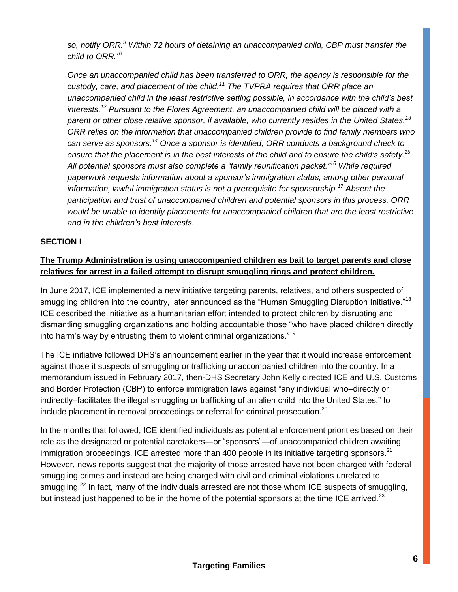*so, notify ORR.<sup>9</sup> Within 72 hours of detaining an unaccompanied child, CBP must transfer the child to ORR.<sup>10</sup>*

*Once an unaccompanied child has been transferred to ORR, the agency is responsible for the custody, care, and placement of the child.<sup>11</sup> The TVPRA requires that ORR place an unaccompanied child in the least restrictive setting possible, in accordance with the child's best interests.<sup>12</sup> Pursuant to the Flores Agreement, an unaccompanied child will be placed with a parent or other close relative sponsor, if available, who currently resides in the United States.<sup>13</sup> ORR relies on the information that unaccompanied children provide to find family members who can serve as sponsors.<sup>14</sup> Once a sponsor is identified, ORR conducts a background check to ensure that the placement is in the best interests of the child and to ensure the child's safety.<sup>15</sup> All potential sponsors must also complete a "family reunification packet."<sup>16</sup> While required paperwork requests information about a sponsor's immigration status, among other personal information, lawful immigration status is not a prerequisite for sponsorship.<sup>17</sup> Absent the participation and trust of unaccompanied children and potential sponsors in this process, ORR would be unable to identify placements for unaccompanied children that are the least restrictive and in the children's best interests.*

# **SECTION I**

# **The Trump Administration is using unaccompanied children as bait to target parents and close relatives for arrest in a failed attempt to disrupt smuggling rings and protect children.**

In June 2017, ICE implemented a new initiative targeting parents, relatives, and others suspected of smuggling children into the country, later announced as the "Human Smuggling Disruption Initiative."<sup>18</sup> ICE described the initiative as a humanitarian effort intended to protect children by disrupting and dismantling smuggling organizations and holding accountable those "who have placed children directly into harm's way by entrusting them to violent criminal organizations."<sup>19</sup>

The ICE initiative followed DHS's announcement earlier in the year that it would increase enforcement against those it suspects of smuggling or trafficking unaccompanied children into the country. In a memorandum issued in February 2017, then-DHS Secretary John Kelly directed ICE and U.S. Customs and Border Protection (CBP) to enforce immigration laws against "any individual who–directly or indirectly–facilitates the illegal smuggling or trafficking of an alien child into the United States," to include placement in removal proceedings or referral for criminal prosecution.<sup>20</sup>

In the months that followed, ICE identified individuals as potential enforcement priorities based on their role as the designated or potential caretakers—or "sponsors"—of unaccompanied children awaiting immigration proceedings. ICE arrested more than 400 people in its initiative targeting sponsors.  $21$ However, news reports suggest that the majority of those arrested have not been charged with federal smuggling crimes and instead are being charged with civil and criminal violations unrelated to smuggling.<sup>22</sup> In fact, many of the individuals arrested are not those whom ICE suspects of smuggling, but instead just happened to be in the home of the potential sponsors at the time ICE arrived. $^{23}$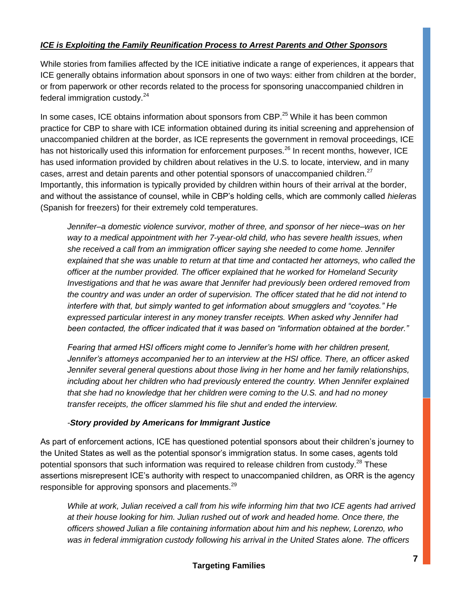# *ICE is Exploiting the Family Reunification Process to Arrest Parents and Other Sponsors*

While stories from families affected by the ICE initiative indicate a range of experiences, it appears that ICE generally obtains information about sponsors in one of two ways: either from children at the border, or from paperwork or other records related to the process for sponsoring unaccompanied children in federal immigration custody. $24$ 

In some cases, ICE obtains information about sponsors from CBP.<sup>25</sup> While it has been common practice for CBP to share with ICE information obtained during its initial screening and apprehension of unaccompanied children at the border, as ICE represents the government in removal proceedings, ICE has not historically used this information for enforcement purposes.<sup>26</sup> In recent months, however, ICE has used information provided by children about relatives in the U.S. to locate, interview, and in many cases, arrest and detain parents and other potential sponsors of unaccompanied children.<sup>27</sup> Importantly, this information is typically provided by children within hours of their arrival at the border, and without the assistance of counsel, while in CBP's holding cells, which are commonly called *hielera*s (Spanish for freezers) for their extremely cold temperatures.

*Jennifer–a domestic violence survivor, mother of three, and sponsor of her niece–was on her way to a medical appointment with her 7-year-old child, who has severe health issues, when she received a call from an immigration officer saying she needed to come home. Jennifer explained that she was unable to return at that time and contacted her attorneys, who called the officer at the number provided. The officer explained that he worked for Homeland Security Investigations and that he was aware that Jennifer had previously been ordered removed from the country and was under an order of supervision. The officer stated that he did not intend to interfere with that, but simply wanted to get information about smugglers and "coyotes." He expressed particular interest in any money transfer receipts. When asked why Jennifer had been contacted, the officer indicated that it was based on "information obtained at the border."* 

*Fearing that armed HSI officers might come to Jennifer's home with her children present, Jennifer's attorneys accompanied her to an interview at the HSI office. There, an officer asked Jennifer several general questions about those living in her home and her family relationships, including about her children who had previously entered the country. When Jennifer explained that she had no knowledge that her children were coming to the U.S. and had no money transfer receipts, the officer slammed his file shut and ended the interview.* 

# *-Story provided by Americans for Immigrant Justice*

As part of enforcement actions, ICE has questioned potential sponsors about their children's journey to the United States as well as the potential sponsor's immigration status. In some cases, agents told potential sponsors that such information was required to release children from custody.<sup>28</sup> These assertions misrepresent ICE's authority with respect to unaccompanied children, as ORR is the agency responsible for approving sponsors and placements.<sup>29</sup>

*While at work, Julian received a call from his wife informing him that two ICE agents had arrived at their house looking for him. Julian rushed out of work and headed home. Once there, the officers showed Julian a file containing information about him and his nephew, Lorenzo, who was in federal immigration custody following his arrival in the United States alone. The officers*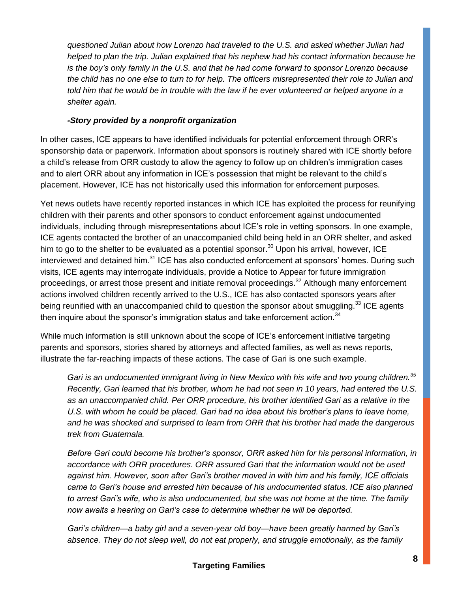*questioned Julian about how Lorenzo had traveled to the U.S. and asked whether Julian had helped to plan the trip. Julian explained that his nephew had his contact information because he is the boy's only family in the U.S. and that he had come forward to sponsor Lorenzo because the child has no one else to turn to for help. The officers misrepresented their role to Julian and told him that he would be in trouble with the law if he ever volunteered or helped anyone in a shelter again.* 

# *-Story provided by a nonprofit organization*

In other cases, ICE appears to have identified individuals for potential enforcement through ORR's sponsorship data or paperwork. Information about sponsors is routinely shared with ICE shortly before a child's release from ORR custody to allow the agency to follow up on children's immigration cases and to alert ORR about any information in ICE's possession that might be relevant to the child's placement. However, ICE has not historically used this information for enforcement purposes.

Yet news outlets have recently reported instances in which ICE has exploited the process for reunifying children with their parents and other sponsors to conduct enforcement against undocumented individuals, including through misrepresentations about ICE's role in vetting sponsors. In one example, ICE agents contacted the brother of an unaccompanied child being held in an ORR shelter, and asked him to go to the shelter to be evaluated as a potential sponsor.<sup>30</sup> Upon his arrival, however, ICE interviewed and detained him.<sup>31</sup> ICE has also conducted enforcement at sponsors' homes. During such visits, ICE agents may interrogate individuals, provide a Notice to Appear for future immigration proceedings, or arrest those present and initiate removal proceedings.<sup>32</sup> Although many enforcement actions involved children recently arrived to the U.S., ICE has also contacted sponsors years after being reunified with an unaccompanied child to question the sponsor about smuggling.<sup>33</sup> ICE agents then inquire about the sponsor's immigration status and take enforcement action.<sup>34</sup>

While much information is still unknown about the scope of ICE's enforcement initiative targeting parents and sponsors, stories shared by attorneys and affected families, as well as news reports, illustrate the far-reaching impacts of these actions. The case of Gari is one such example.

*Gari is an undocumented immigrant living in New Mexico with his wife and two young children.<sup>35</sup> Recently, Gari learned that his brother, whom he had not seen in 10 years, had entered the U.S. as an unaccompanied child. Per ORR procedure, his brother identified Gari as a relative in the U.S. with whom he could be placed. Gari had no idea about his brother's plans to leave home, and he was shocked and surprised to learn from ORR that his brother had made the dangerous trek from Guatemala.*

*Before Gari could become his brother's sponsor, ORR asked him for his personal information, in accordance with ORR procedures. ORR assured Gari that the information would not be used against him. However, soon after Gari's brother moved in with him and his family, ICE officials came to Gari's house and arrested him because of his undocumented status. ICE also planned to arrest Gari's wife, who is also undocumented, but she was not home at the time. The family now awaits a hearing on Gari's case to determine whether he will be deported.* 

*Gari's children—a baby girl and a seven-year old boy—have been greatly harmed by Gari's absence. They do not sleep well, do not eat properly, and struggle emotionally, as the family*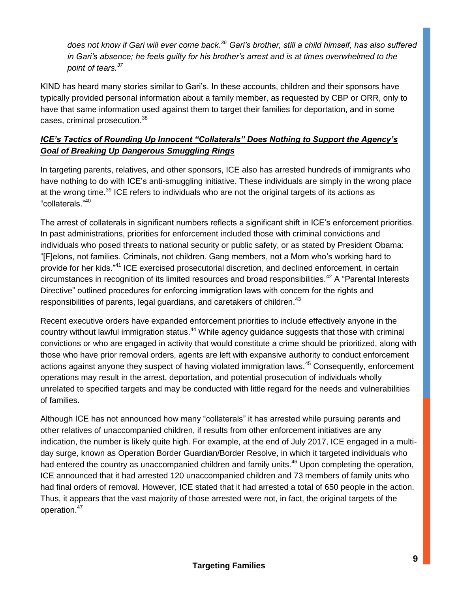*does not know if Gari will ever come back.<sup>36</sup> Gari's brother, still a child himself, has also suffered in Gari's absence; he feels guilty for his brother's arrest and is at times overwhelmed to the point of tears.<sup>37</sup>*

KIND has heard many stories similar to Gari's. In these accounts, children and their sponsors have typically provided personal information about a family member, as requested by CBP or ORR, only to have that same information used against them to target their families for deportation, and in some cases, criminal prosecution.<sup>38</sup>

# *ICE's Tactics of Rounding Up Innocent "Collaterals" Does Nothing to Support the Agency's Goal of Breaking Up Dangerous Smuggling Rings*

In targeting parents, relatives, and other sponsors, ICE also has arrested hundreds of immigrants who have nothing to do with ICE's anti-smuggling initiative. These individuals are simply in the wrong place at the wrong time.<sup>39</sup> ICE refers to individuals who are not the original targets of its actions as "collaterals."<sup>40</sup>

The arrest of collaterals in significant numbers reflects a significant shift in ICE's enforcement priorities. In past administrations, priorities for enforcement included those with criminal convictions and individuals who posed threats to national security or public safety, or as stated by President Obama: "[F]elons, not families. Criminals, not children. Gang members, not a Mom who's working hard to provide for her kids."<sup>41</sup> ICE exercised prosecutorial discretion, and declined enforcement, in certain circumstances in recognition of its limited resources and broad responsibilities.<sup>42</sup> A "Parental Interests Directive" outlined procedures for enforcing immigration laws with concern for the rights and responsibilities of parents, legal guardians, and caretakers of children.<sup>43</sup>

Recent executive orders have expanded enforcement priorities to include effectively anyone in the country without lawful immigration status.<sup>44</sup> While agency guidance suggests that those with criminal convictions or who are engaged in activity that would constitute a crime should be prioritized, along with those who have prior removal orders, agents are left with expansive authority to conduct enforcement actions against anyone they suspect of having violated immigration laws.<sup>45</sup> Consequently, enforcement operations may result in the arrest, deportation, and potential prosecution of individuals wholly unrelated to specified targets and may be conducted with little regard for the needs and vulnerabilities of families.

Although ICE has not announced how many "collaterals" it has arrested while pursuing parents and other relatives of unaccompanied children, if results from other enforcement initiatives are any indication, the number is likely quite high. For example, at the end of July 2017, ICE engaged in a multiday surge, known as Operation Border Guardian/Border Resolve, in which it targeted individuals who had entered the country as unaccompanied children and family units.<sup>46</sup> Upon completing the operation, ICE announced that it had arrested 120 unaccompanied children and 73 members of family units who had final orders of removal. However, ICE stated that it had arrested a total of 650 people in the action. Thus, it appears that the vast majority of those arrested were not, in fact, the original targets of the operation.<sup>47</sup>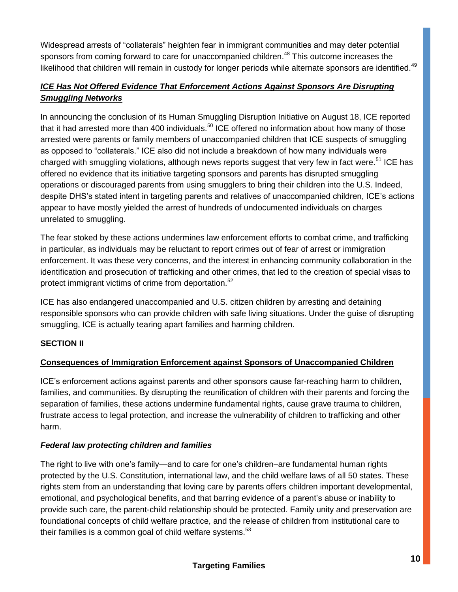Widespread arrests of "collaterals" heighten fear in immigrant communities and may deter potential sponsors from coming forward to care for unaccompanied children.<sup>48</sup> This outcome increases the likelihood that children will remain in custody for longer periods while alternate sponsors are identified.<sup>49</sup>

# *ICE Has Not Offered Evidence That Enforcement Actions Against Sponsors Are Disrupting Smuggling Networks*

In announcing the conclusion of its Human Smuggling Disruption Initiative on August 18, ICE reported that it had arrested more than 400 individuals.<sup>50</sup> ICE offered no information about how many of those arrested were parents or family members of unaccompanied children that ICE suspects of smuggling as opposed to "collaterals." ICE also did not include a breakdown of how many individuals were charged with smuggling violations, although news reports suggest that very few in fact were.<sup>51</sup> ICE has offered no evidence that its initiative targeting sponsors and parents has disrupted smuggling operations or discouraged parents from using smugglers to bring their children into the U.S. Indeed, despite DHS's stated intent in targeting parents and relatives of unaccompanied children, ICE's actions appear to have mostly yielded the arrest of hundreds of undocumented individuals on charges unrelated to smuggling.

The fear stoked by these actions undermines law enforcement efforts to combat crime, and trafficking in particular, as individuals may be reluctant to report crimes out of fear of arrest or immigration enforcement. It was these very concerns, and the interest in enhancing community collaboration in the identification and prosecution of trafficking and other crimes, that led to the creation of special visas to protect immigrant victims of crime from deportation.<sup>52</sup>

ICE has also endangered unaccompanied and U.S. citizen children by arresting and detaining responsible sponsors who can provide children with safe living situations. Under the guise of disrupting smuggling, ICE is actually tearing apart families and harming children.

# **SECTION II**

# **Consequences of Immigration Enforcement against Sponsors of Unaccompanied Children**

ICE's enforcement actions against parents and other sponsors cause far-reaching harm to children, families, and communities. By disrupting the reunification of children with their parents and forcing the separation of families, these actions undermine fundamental rights, cause grave trauma to children, frustrate access to legal protection, and increase the vulnerability of children to trafficking and other harm.

# *Federal law protecting children and families*

The right to live with one's family—and to care for one's children–are fundamental human rights protected by the U.S. Constitution, international law, and the child welfare laws of all 50 states. These rights stem from an understanding that loving care by parents offers children important developmental, emotional, and psychological benefits, and that barring evidence of a parent's abuse or inability to provide such care, the parent-child relationship should be protected. Family unity and preservation are foundational concepts of child welfare practice, and the release of children from institutional care to their families is a common goal of child welfare systems. $53$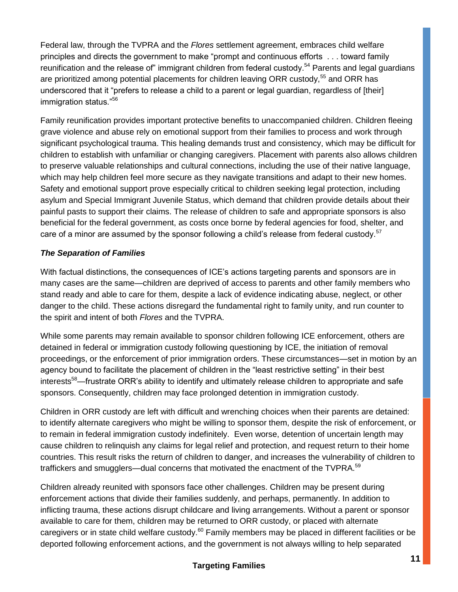Federal law, through the TVPRA and the *Flores* settlement agreement, embraces child welfare principles and directs the government to make "prompt and continuous efforts . . . toward family reunification and the release of" immigrant children from federal custody.<sup>54</sup> Parents and legal guardians are prioritized among potential placements for children leaving ORR custody,<sup>55</sup> and ORR has underscored that it "prefers to release a child to a parent or legal guardian, regardless of [their] immigration status."<sup>56</sup>

Family reunification provides important protective benefits to unaccompanied children. Children fleeing grave violence and abuse rely on emotional support from their families to process and work through significant psychological trauma. This healing demands trust and consistency, which may be difficult for children to establish with unfamiliar or changing caregivers. Placement with parents also allows children to preserve valuable relationships and cultural connections, including the use of their native language, which may help children feel more secure as they navigate transitions and adapt to their new homes. Safety and emotional support prove especially critical to children seeking legal protection, including asylum and Special Immigrant Juvenile Status, which demand that children provide details about their painful pasts to support their claims. The release of children to safe and appropriate sponsors is also beneficial for the federal government, as costs once borne by federal agencies for food, shelter, and care of a minor are assumed by the sponsor following a child's release from federal custody.<sup>57</sup>

# *The Separation of Families*

With factual distinctions, the consequences of ICE's actions targeting parents and sponsors are in many cases are the same—children are deprived of access to parents and other family members who stand ready and able to care for them, despite a lack of evidence indicating abuse, neglect, or other danger to the child. These actions disregard the fundamental right to family unity, and run counter to the spirit and intent of both *Flores* and the TVPRA.

While some parents may remain available to sponsor children following ICE enforcement, others are detained in federal or immigration custody following questioning by ICE, the initiation of removal proceedings, or the enforcement of prior immigration orders. These circumstances—set in motion by an agency bound to facilitate the placement of children in the "least restrictive setting" in their best interests<sup>58</sup>—frustrate ORR's ability to identify and ultimately release children to appropriate and safe sponsors. Consequently, children may face prolonged detention in immigration custody.

Children in ORR custody are left with difficult and wrenching choices when their parents are detained: to identify alternate caregivers who might be willing to sponsor them, despite the risk of enforcement, or to remain in federal immigration custody indefinitely. Even worse, detention of uncertain length may cause children to relinquish any claims for legal relief and protection, and request return to their home countries. This result risks the return of children to danger, and increases the vulnerability of children to traffickers and smugglers—dual concerns that motivated the enactment of the TVPRA.<sup>59</sup>

Children already reunited with sponsors face other challenges. Children may be present during enforcement actions that divide their families suddenly, and perhaps, permanently. In addition to inflicting trauma, these actions disrupt childcare and living arrangements. Without a parent or sponsor available to care for them, children may be returned to ORR custody, or placed with alternate caregivers or in state child welfare custody.<sup>60</sup> Family members may be placed in different facilities or be deported following enforcement actions, and the government is not always willing to help separated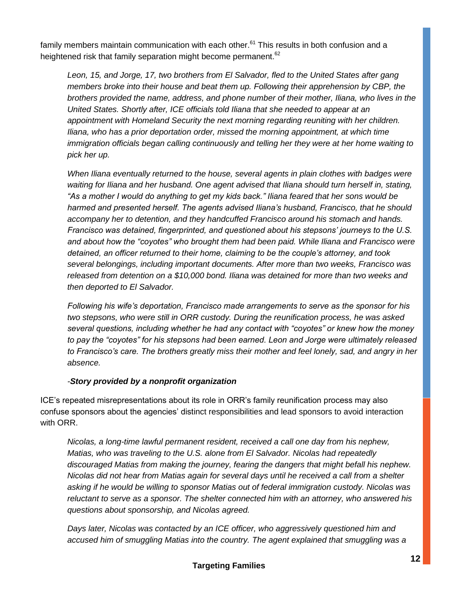family members maintain communication with each other. $61$  This results in both confusion and a heightened risk that family separation might become permanent.<sup>62</sup>

*Leon, 15, and Jorge, 17, two brothers from El Salvador, fled to the United States after gang members broke into their house and beat them up. Following their apprehension by CBP, the brothers provided the name, address, and phone number of their mother, Iliana, who lives in the United States. Shortly after, ICE officials told Iliana that she needed to appear at an appointment with Homeland Security the next morning regarding reuniting with her children. Iliana, who has a prior deportation order, missed the morning appointment, at which time immigration officials began calling continuously and telling her they were at her home waiting to pick her up.* 

*When Iliana eventually returned to the house, several agents in plain clothes with badges were waiting for Iliana and her husband. One agent advised that Iliana should turn herself in, stating, "As a mother I would do anything to get my kids back." Iliana feared that her sons would be harmed and presented herself. The agents advised Iliana's husband, Francisco, that he should accompany her to detention, and they handcuffed Francisco around his stomach and hands. Francisco was detained, fingerprinted, and questioned about his stepsons' journeys to the U.S. and about how the "coyotes" who brought them had been paid. While Iliana and Francisco were detained, an officer returned to their home, claiming to be the couple's attorney, and took several belongings, including important documents. After more than two weeks, Francisco was released from detention on a \$10,000 bond. Iliana was detained for more than two weeks and then deported to El Salvador.* 

*Following his wife's deportation, Francisco made arrangements to serve as the sponsor for his two stepsons, who were still in ORR custody. During the reunification process, he was asked several questions, including whether he had any contact with "coyotes" or knew how the money to pay the "coyotes" for his stepsons had been earned. Leon and Jorge were ultimately released to Francisco's care. The brothers greatly miss their mother and feel lonely, sad, and angry in her absence.* 

# *-Story provided by a nonprofit organization*

ICE's repeated misrepresentations about its role in ORR's family reunification process may also confuse sponsors about the agencies' distinct responsibilities and lead sponsors to avoid interaction with ORR.

*Nicolas, a long-time lawful permanent resident, received a call one day from his nephew, Matias, who was traveling to the U.S. alone from El Salvador. Nicolas had repeatedly discouraged Matias from making the journey, fearing the dangers that might befall his nephew. Nicolas did not hear from Matias again for several days until he received a call from a shelter asking if he would be willing to sponsor Matias out of federal immigration custody. Nicolas was reluctant to serve as a sponsor. The shelter connected him with an attorney, who answered his questions about sponsorship, and Nicolas agreed.* 

*Days later, Nicolas was contacted by an ICE officer, who aggressively questioned him and accused him of smuggling Matias into the country. The agent explained that smuggling was a*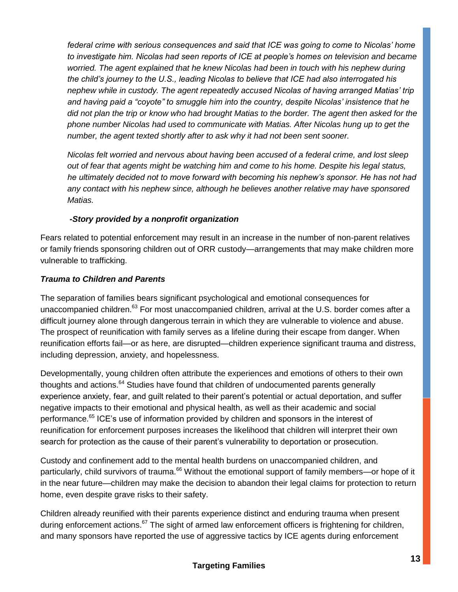*federal crime with serious consequences and said that ICE was going to come to Nicolas' home to investigate him. Nicolas had seen reports of ICE at people's homes on television and became worried. The agent explained that he knew Nicolas had been in touch with his nephew during the child's journey to the U.S., leading Nicolas to believe that ICE had also interrogated his nephew while in custody. The agent repeatedly accused Nicolas of having arranged Matias' trip and having paid a "coyote" to smuggle him into the country, despite Nicolas' insistence that he did not plan the trip or know who had brought Matias to the border. The agent then asked for the phone number Nicolas had used to communicate with Matias. After Nicolas hung up to get the number, the agent texted shortly after to ask why it had not been sent sooner.* 

*Nicolas felt worried and nervous about having been accused of a federal crime, and lost sleep out of fear that agents might be watching him and come to his home. Despite his legal status, he ultimately decided not to move forward with becoming his nephew's sponsor. He has not had any contact with his nephew since, although he believes another relative may have sponsored Matias.*

# *-Story provided by a nonprofit organization*

Fears related to potential enforcement may result in an increase in the number of non-parent relatives or family friends sponsoring children out of ORR custody—arrangements that may make children more vulnerable to trafficking.

# *Trauma to Children and Parents*

The separation of families bears significant psychological and emotional consequences for unaccompanied children.<sup>63</sup> For most unaccompanied children, arrival at the U.S. border comes after a difficult journey alone through dangerous terrain in which they are vulnerable to violence and abuse. The prospect of reunification with family serves as a lifeline during their escape from danger. When reunification efforts fail—or as here, are disrupted—children experience significant trauma and distress, including depression, anxiety, and hopelessness.

Developmentally, young children often attribute the experiences and emotions of others to their own thoughts and actions.<sup>64</sup> Studies have found that children of undocumented parents generally experience anxiety, fear, and guilt related to their parent's potential or actual deportation, and suffer negative impacts to their emotional and physical health, as well as their academic and social performance.<sup>65</sup> ICE's use of information provided by children and sponsors in the interest of reunification for enforcement purposes increases the likelihood that children will interpret their own search for protection as the cause of their parent's vulnerability to deportation or prosecution.

Custody and confinement add to the mental health burdens on unaccompanied children, and particularly, child survivors of trauma.<sup>66</sup> Without the emotional support of family members—or hope of it in the near future—children may make the decision to abandon their legal claims for protection to return home, even despite grave risks to their safety.

Children already reunified with their parents experience distinct and enduring trauma when present during enforcement actions.<sup>67</sup> The sight of armed law enforcement officers is frightening for children, and many sponsors have reported the use of aggressive tactics by ICE agents during enforcement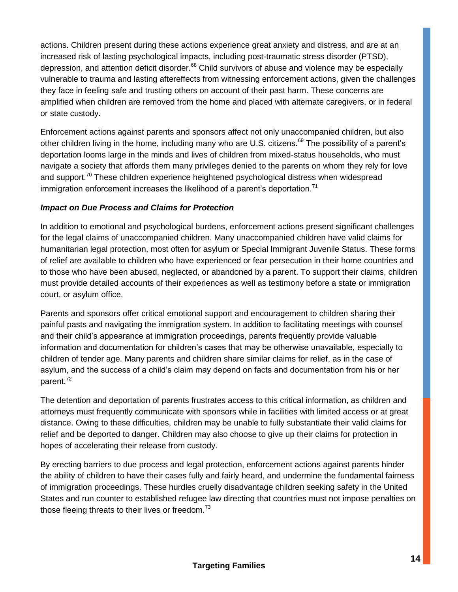actions. Children present during these actions experience great anxiety and distress, and are at an increased risk of lasting psychological impacts, including post-traumatic stress disorder (PTSD), depression, and attention deficit disorder.<sup>68</sup> Child survivors of abuse and violence may be especially vulnerable to trauma and lasting aftereffects from witnessing enforcement actions, given the challenges they face in feeling safe and trusting others on account of their past harm. These concerns are amplified when children are removed from the home and placed with alternate caregivers, or in federal or state custody.

Enforcement actions against parents and sponsors affect not only unaccompanied children, but also other children living in the home, including many who are U.S. citizens.<sup>69</sup> The possibility of a parent's deportation looms large in the minds and lives of children from mixed-status households, who must navigate a society that affords them many privileges denied to the parents on whom they rely for love and support.<sup>70</sup> These children experience heightened psychological distress when widespread immigration enforcement increases the likelihood of a parent's deportation.<sup>71</sup>

# *Impact on Due Process and Claims for Protection*

In addition to emotional and psychological burdens, enforcement actions present significant challenges for the legal claims of unaccompanied children. Many unaccompanied children have valid claims for humanitarian legal protection, most often for asylum or Special Immigrant Juvenile Status. These forms of relief are available to children who have experienced or fear persecution in their home countries and to those who have been abused, neglected, or abandoned by a parent. To support their claims, children must provide detailed accounts of their experiences as well as testimony before a state or immigration court, or asylum office.

Parents and sponsors offer critical emotional support and encouragement to children sharing their painful pasts and navigating the immigration system. In addition to facilitating meetings with counsel and their child's appearance at immigration proceedings, parents frequently provide valuable information and documentation for children's cases that may be otherwise unavailable, especially to children of tender age. Many parents and children share similar claims for relief, as in the case of asylum, and the success of a child's claim may depend on facts and documentation from his or her parent.<sup>72</sup>

The detention and deportation of parents frustrates access to this critical information, as children and attorneys must frequently communicate with sponsors while in facilities with limited access or at great distance. Owing to these difficulties, children may be unable to fully substantiate their valid claims for relief and be deported to danger. Children may also choose to give up their claims for protection in hopes of accelerating their release from custody.

By erecting barriers to due process and legal protection, enforcement actions against parents hinder the ability of children to have their cases fully and fairly heard, and undermine the fundamental fairness of immigration proceedings. These hurdles cruelly disadvantage children seeking safety in the United States and run counter to established refugee law directing that countries must not impose penalties on those fleeing threats to their lives or freedom. $^{73}$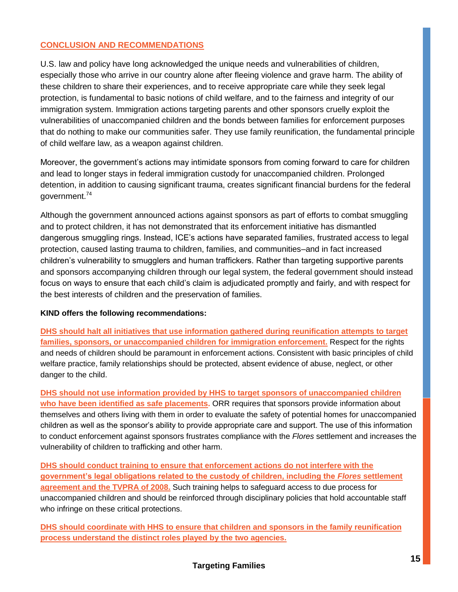# **CONCLUSION AND RECOMMENDATIONS**

U.S. law and policy have long acknowledged the unique needs and vulnerabilities of children, especially those who arrive in our country alone after fleeing violence and grave harm. The ability of these children to share their experiences, and to receive appropriate care while they seek legal protection, is fundamental to basic notions of child welfare, and to the fairness and integrity of our immigration system. Immigration actions targeting parents and other sponsors cruelly exploit the vulnerabilities of unaccompanied children and the bonds between families for enforcement purposes that do nothing to make our communities safer. They use family reunification, the fundamental principle of child welfare law, as a weapon against children.

Moreover, the government's actions may intimidate sponsors from coming forward to care for children and lead to longer stays in federal immigration custody for unaccompanied children. Prolonged detention, in addition to causing significant trauma, creates significant financial burdens for the federal government.<sup>74</sup>

Although the government announced actions against sponsors as part of efforts to combat smuggling and to protect children, it has not demonstrated that its enforcement initiative has dismantled dangerous smuggling rings. Instead, ICE's actions have separated families, frustrated access to legal protection, caused lasting trauma to children, families, and communities–and in fact increased children's vulnerability to smugglers and human traffickers. Rather than targeting supportive parents and sponsors accompanying children through our legal system, the federal government should instead focus on ways to ensure that each child's claim is adjudicated promptly and fairly, and with respect for the best interests of children and the preservation of families.

#### **KIND offers the following recommendations:**

**DHS should halt all initiatives that use information gathered during reunification attempts to target families, sponsors, or unaccompanied children for immigration enforcement.** Respect for the rights and needs of children should be paramount in enforcement actions. Consistent with basic principles of child welfare practice, family relationships should be protected, absent evidence of abuse, neglect, or other danger to the child.

**DHS should not use information provided by HHS to target sponsors of unaccompanied children who have been identified as safe placements.** ORR requires that sponsors provide information about themselves and others living with them in order to evaluate the safety of potential homes for unaccompanied children as well as the sponsor's ability to provide appropriate care and support. The use of this information to conduct enforcement against sponsors frustrates compliance with the *Flores* settlement and increases the vulnerability of children to trafficking and other harm.

**DHS should conduct training to ensure that enforcement actions do not interfere with the government's legal obligations related to the custody of children, including the** *Flores* **settlement agreement and the TVPRA of 2008.** Such training helps to safeguard access to due process for unaccompanied children and should be reinforced through disciplinary policies that hold accountable staff who infringe on these critical protections.

**DHS should coordinate with HHS to ensure that children and sponsors in the family reunification process understand the distinct roles played by the two agencies.**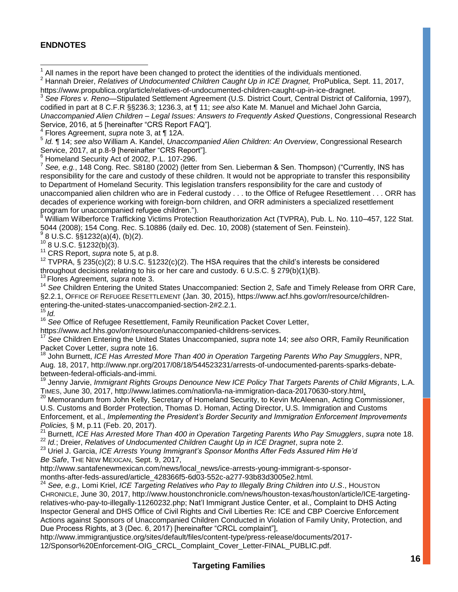## **ENDNOTES**

1 All names in the report have been changed to protect the identities of the individuals mentioned.

<sup>2</sup> Hannah Dreier, *Relatives of Undocumented Children Caught Up in ICE Dragnet, ProPublica, Sept. 11, 2017,* https://www.propublica.org/article/relatives-of-undocumented-children-caught-up-in-ice-dragnet.

3 *See Flores v. Reno*—Stipulated Settlement Agreement (U.S. District Court, Central District of California, 1997), codified in part at 8 C.F.R §§236.3; 1236.3, at ¶ 11; *see also* Kate M. Manuel and Michael John Garcia,

*Unaccompanied Alien Children – Legal Issues: Answers to Frequently Asked Questions*, Congressional Research Service, 2016, at 5 [hereinafter "CRS Report FAQ"].

4 Flores Agreement, *supra* note 3, at ¶ 12A.

5 *Id.* ¶ 14; *see also* William A. Kandel, *Unaccompanied Alien Children: An Overview*, Congressional Research Service, 2017, at p.8-9 [hereinafter "CRS Report"].

<sup>6</sup> Homeland Security Act of 2002, P.L. 107-296.

<sup>7</sup> See, e.g., 148 Cong. Rec. S8180 (2002) (letter from Sen. Lieberman & Sen. Thompson) ("Currently, INS has responsibility for the care and custody of these children. It would not be appropriate to transfer this responsibility to Department of Homeland Security. This legislation transfers responsibility for the care and custody of unaccompanied alien children who are in Federal custody . . . to the Office of Refugee Resettlement . . . ORR has decades of experience working with foreign-born children, and ORR administers a specialized resettlement program for unaccompanied refugee children.").

<sup>8</sup> William Wilberforce Trafficking Victims Protection Reauthorization Act (TVPRA), Pub. L. No. 110–457, 122 Stat. 5044 (2008); 154 Cong. Rec. S.10886 (daily ed. Dec. 10, 2008) (statement of Sen. Feinstein). 9

8 U.S.C. §§1232(a)(4), (b)(2).

 $10$  8 U.S.C.  $\S$ 1232(b)(3).

<sup>11</sup> CRS Report, *supra* note 5, at p.8.

 $12$  TVPRA, § 235(c)(2); 8 U.S.C. §1232(c)(2). The HSA requires that the child's interests be considered throughout decisions relating to his or her care and custody. 6 U.S.C. § 279(b)(1)(B).

<sup>13</sup> Flores Agreement, *supra* note 3.

<sup>14</sup> See Children Entering the United States Unaccompanied: Section 2, Safe and Timely Release from ORR Care, §2.2.1, OFFICE OF REFUGEE RESETTLEMENT (Jan. 30, 2015), https://www.acf.hhs.gov/orr/resource/childrenentering-the-united-states-unaccompanied-section-2#2.2.1. <sup>15</sup> *Id.*

<sup>16</sup> *See* Office of Refugee Resettlement, Family Reunification Packet Cover Letter,

https://www.acf.hhs.gov/orr/resource/unaccompanied-childrens-services.

<sup>17</sup> *See* Children Entering the United States Unaccompanied, *supra* note 14; *see also* ORR, Family Reunification Packet Cover Letter, *supra* note 16.

<sup>18</sup> John Burnett, *ICE Has Arrested More Than 400 in Operation Targeting Parents Who Pay Smugglers*, NPR, Aug. 18, 2017, http://www.npr.org/2017/08/18/544523231/arrests-of-undocumented-parents-sparks-debatebetween-federal-officials-and-immi.

<sup>19</sup> Jenny Jarvie, *Immigrant Rights Groups Denounce New ICE Policy That Targets Parents of Child Migrants*, L.A. TIMES, June 30, 2017, http://www.latimes.com/nation/la-na-immigration-daca-20170630-story.html.

<sup>20</sup> Memorandum from John Kelly, Secretary of Homeland Security, to Kevin McAleenan, Acting Commissioner, U.S. Customs and Border Protection, Thomas D. Homan, Acting Director, U.S. Immigration and Customs Enforcement, et al., *Implementing the President's Border Security and Immigration Enforcement Improvements Policies,* § M, p.11 (Feb. 20, 2017).

<sup>21</sup> Burnett, *ICE Has Arrested More Than 400 in Operation Targeting Parents Who Pay Smugglers*, *supra* note 18.

<sup>22</sup> *Id.*; Dreier, *Relatives of Undocumented Children Caught Up in ICE Dragnet*, *supra* note 2.

<sup>23</sup> Uriel J. Garcia, *ICE Arrests Young Immigrant's Sponsor Months After Feds Assured Him He'd Be Safe*, THE NEW MEXICAN, Sept. 9, 2017,

http://www.santafenewmexican.com/news/local\_news/ice-arrests-young-immigrant-s-sponsormonths-after-feds-assured/article\_428366f5-6d03-552c-a277-93b83d3005e2.html.

<sup>24</sup> *See, e.g.,* Lomi Kriel, *ICE Targeting Relatives who Pay to Illegally Bring Children into U.S*., HOUSTON CHRONICLE, June 30, 2017, http://www.houstonchronicle.com/news/houston-texas/houston/article/ICE-targetingrelatives-who-pay-to-illegally-11260232.php; Nat'l Immigrant Justice Center, et al., Complaint to DHS Acting Inspector General and DHS Office of Civil Rights and Civil Liberties Re: ICE and CBP Coercive Enforcement Actions against Sponsors of Unaccompanied Children Conducted in Violation of Family Unity, Protection, and Due Process Rights, at 3 (Dec. 6, 2017) [hereinafter "CRCL complaint"],

http://www.immigrantjustice.org/sites/default/files/content-type/press-release/documents/2017- 12/Sponsor%20Enforcement-OIG\_CRCL\_Complaint\_Cover\_Letter-FINAL\_PUBLIC.pdf.

# **Targeting Families**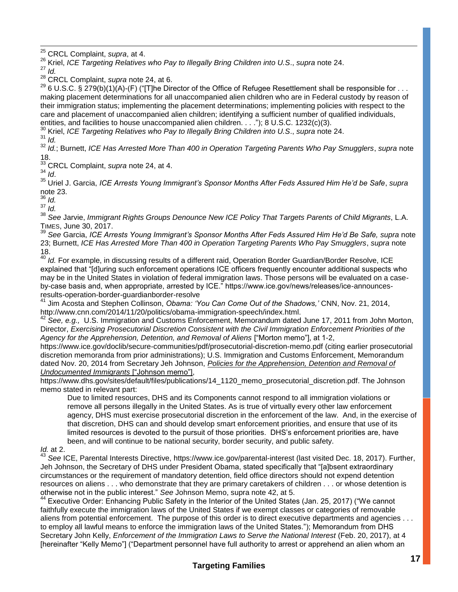j <sup>25</sup> CRCL Complaint, *supra*, at 4.

<sup>26</sup> Kriel, *ICE Targeting Relatives who Pay to Illegally Bring Children into U.S*., *supra* note 24.

<sup>27</sup> *Id.*

<sup>28</sup> CRCL Complaint, *supra* note 24, at 6.

<sup>29</sup> 6 U.S.C. § 279(b)(1)(A)-(F) ("[T]he Director of the Office of Refugee Resettlement shall be responsible for . . . making placement determinations for all unaccompanied alien children who are in Federal custody by reason of their immigration status; implementing the placement determinations; implementing policies with respect to the care and placement of unaccompanied alien children; identifying a sufficient number of qualified individuals, entities, and facilities to house unaccompanied alien children. . . ."); 8 U.S.C. 1232(c)(3).

<sup>30</sup> Kriel, *ICE Targeting Relatives who Pay to Illegally Bring Children into U.S*., *supra* note 24.

<sup>31</sup> *Id.*

<sup>32</sup> *Id.*; Burnett, *ICE Has Arrested More Than 400 in Operation Targeting Parents Who Pay Smugglers*, *supra* note 18.

<sup>33</sup> CRCL Complaint, *supra* note 24, at 4.

<sup>34</sup> *Id*.

<sup>35</sup> Uriel J. Garcia, *ICE Arrests Young Immigrant's Sponsor Months After Feds Assured Him He'd be Safe*, *supra* note 23.

<sup>36</sup> *Id.*

<sup>37</sup> *Id.*

<sup>38</sup> *See* Jarvie, *Immigrant Rights Groups Denounce New ICE Policy That Targets Parents of Child Migrants*, L.A. TIMES, June 30, 2017.

<sup>39</sup> *See* Garcia, *ICE Arrests Young Immigrant's Sponsor Months After Feds Assured Him He'd Be Safe, supra* note 23; Burnett, *ICE Has Arrested More Than 400 in Operation Targeting Parents Who Pay Smugglers*, *supra* note 18.

<sup>40</sup> *Id.* For example, in discussing results of a different raid, Operation Border Guardian/Border Resolve, ICE explained that "[d]uring such enforcement operations ICE officers frequently encounter additional suspects who may be in the United States in violation of federal immigration laws. Those persons will be evaluated on a caseby-case basis and, when appropriate, arrested by ICE." https://www.ice.gov/news/releases/ice-announcesresults-operation-border-guardianborder-resolve

<sup>41</sup> Jim Acosta and Stephen Collinson, *Obama: 'You Can Come Out of the Shadows,'* CNN, Nov. 21, 2014, http://www.cnn.com/2014/11/20/politics/obama-immigration-speech/index.html.

<sup>42</sup> *See, e.g.,* U.S. Immigration and Customs Enforcement, Memorandum dated June 17, 2011 from John Morton, Director, *Exercising Prosecutorial Discretion Consistent with the Civil Immigration Enforcement Priorities of the Agency for the Apprehension, Detention, and Removal of Aliens* ["Morton memo"], at 1-2,

https://www.ice.gov/doclib/secure-communities/pdf/prosecutorial-discretion-memo.pdf (citing earlier prosecutorial discretion memoranda from prior administrations); U.S. Immigration and Customs Enforcement, Memorandum dated Nov. 20, 2014 from Secretary Jeh Johnson, *Policies for the Apprehension, Detention and Removal of Undocumented Immigrants* ["Johnson memo"],

https://www.dhs.gov/sites/default/files/publications/14\_1120\_memo\_prosecutorial\_discretion.pdf. The Johnson memo stated in relevant part:

Due to limited resources, DHS and its Components cannot respond to all immigration violations or remove all persons illegally in the United States. As is true of virtually every other law enforcement agency, DHS must exercise prosecutorial discretion in the enforcement of the law. And, in the exercise of that discretion, DHS can and should develop smart enforcement priorities, and ensure that use of its limited resources is devoted to the pursuit of those priorities. DHS's enforcement priorities are, have been, and will continue to be national security, border security, and public safety.

#### *Id.* at 2.

<sup>43</sup> *See* ICE, Parental Interests Directive, https://www.ice.gov/parental-interest (last visited Dec. 18, 2017). Further, Jeh Johnson, the Secretary of DHS under President Obama, stated specifically that "[a]bsent extraordinary circumstances or the requirement of mandatory detention, field office directors should not expend detention resources on aliens . . . who demonstrate that they are primary caretakers of children . . . or whose detention is otherwise not in the public interest." *See* Johnson Memo, supra note 42, at 5.

<sup>44</sup> Executive Order: Enhancing Public Safety in the Interior of the United States (Jan. 25, 2017) ("We cannot faithfully execute the immigration laws of the United States if we exempt classes or categories of removable aliens from potential enforcement. The purpose of this order is to direct executive departments and agencies . . . to employ all lawful means to enforce the immigration laws of the United States."); Memorandum from DHS Secretary John Kelly, *Enforcement of the Immigration Laws to Serve the National Interest* (Feb. 20, 2017), at 4 [hereinafter "Kelly Memo"] ("Department personnel have full authority to arrest or apprehend an alien whom an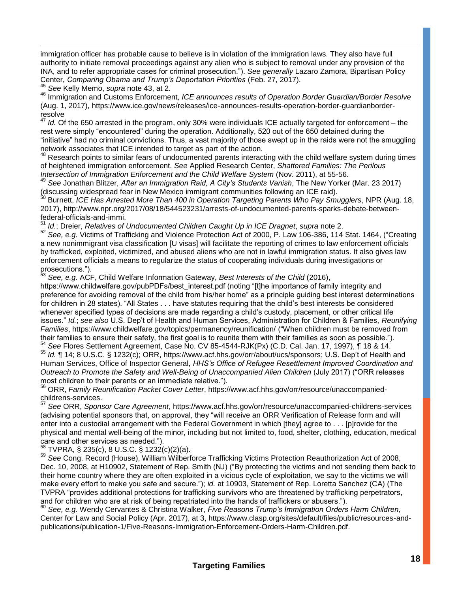immigration officer has probable cause to believe is in violation of the immigration laws. They also have full authority to initiate removal proceedings against any alien who is subject to removal under any provision of the INA, and to refer appropriate cases for criminal prosecution."). *See generally* Lazaro Zamora, Bipartisan Policy Center, *Comparing Obama and Trump's Deportation Priorities* (Feb. 27, 2017).

<sup>45</sup> *See* Kelly Memo, *supra* note 43, at 2.

<sup>46</sup> Immigration and Customs Enforcement, *ICE announces results of Operation Border Guardian/Border Resolve* (Aug. 1, 2017), https://www.ice.gov/news/releases/ice-announces-results-operation-border-guardianborderresolve

Id. Of the 650 arrested in the program, only 30% were individuals ICE actually targeted for enforcement – the rest were simply "encountered" during the operation. Additionally, 520 out of the 650 detained during the "initiative" had no criminal convictions. Thus, a vast majority of those swept up in the raids were not the smuggling network associates that ICE intended to target as part of the action.

Research points to similar fears of undocumented parents interacting with the child welfare system during times of heightened immigration enforcement. *See* Applied Research Center, *Shattered Families: The Perilous Intersection of Immigration Enforcement and the Child Welfare System* (Nov. 2011), at 55-56.

<sup>49</sup> *See* Jonathan Blitzer, *After an Immigration Raid, A City's Students Vanish*, The New Yorker (Mar. 23 2017) (discussing widespread fear in New Mexico immigrant communities following an ICE raid).

<sup>50</sup> Burnett, *ICE Has Arrested More Than 400 in Operation Targeting Parents Who Pay Smugglers*, NPR (Aug. 18, 2017), http://www.npr.org/2017/08/18/544523231/arrests-of-undocumented-parents-sparks-debate-betweenfederal-officials-and-immi.

<sup>51</sup> *Id.*; Dreier, *Relatives of Undocumented Children Caught Up in ICE Dragnet*, *supra* note 2.

<sup>52</sup> *See, e.g.* Victims of Trafficking and Violence Protection Act of 2000, P. Law 106-386, 114 Stat. 1464, ("Creating a new nonimmigrant visa classification [U visas] will facilitate the reporting of crimes to law enforcement officials by trafficked, exploited, victimized, and abused aliens who are not in lawful immigration status. It also gives law enforcement officials a means to regularize the status of cooperating individuals during investigations or prosecutions.").

<sup>53</sup> *See, e.g.* ACF, Child Welfare Information Gateway, *Best Interests of the Child* (2016),

https://www.childwelfare.gov/pubPDFs/best\_interest.pdf (noting "[t]he importance of family integrity and preference for avoiding removal of the child from his/her home" as a principle guiding best interest determinations for children in 28 states). "All States . . . have statutes requiring that the child's best interests be considered whenever specified types of decisions are made regarding a child's custody, placement, or other critical life issues." *Id.*; *see also* U.S. Dep't of Health and Human Services, Administration for Children & Families, *Reunifying Families*, https://www.childwelfare.gov/topics/permanency/reunification/ ("When children must be removed from their families to ensure their safety, the first goal is to reunite them with their families as soon as possible.").

<sup>54</sup> *See* Flores Settlement Agreement, Case No. CV 85-4544-RJK(Px) (C.D. Cal. Jan. 17, 1997), ¶ 18 & 14. <sup>55</sup> *Id.* ¶ 14; 8 U.S.C. § 1232(c); ORR, https://www.acf.hhs.gov/orr/about/ucs/sponsors; U.S. Dep't of Health and Human Services, Office of Inspector General, *HHS's Office of Refugee Resettlement Improved Coordination and Outreach to Promote the Safety and Well-Being of Unaccompanied Alien Children* (July 2017) ("ORR releases most children to their parents or an immediate relative.").

<sup>56</sup> ORR, *Family Reunification Packet Cover Letter*, https://www.acf.hhs.gov/orr/resource/unaccompaniedchildrens-services.

<sup>57</sup> *See* ORR, *Sponsor Care Agreement*, https://www.acf.hhs.gov/orr/resource/unaccompanied-childrens-services (advising potential sponsors that, on approval, they "will receive an ORR Verification of Release form and will enter into a custodial arrangement with the Federal Government in which [they] agree to . . . [p]rovide for the physical and mental well-being of the minor, including but not limited to, food, shelter, clothing, education, medical care and other services as needed.").

 $58$  TVPRA, § 235(c), 8 U.S.C. § 1232(c)(2)(a).

<sup>59</sup> *See* Cong. Record (House), William Wilberforce Trafficking Victims Protection Reauthorization Act of 2008, Dec. 10, 2008, at H10902, Statement of Rep. Smith (NJ) ("By protecting the victims and not sending them back to their home country where they are often exploited in a vicious cycle of exploitation, we say to the victims we will make every effort to make you safe and secure."); *id.* at 10903, Statement of Rep. Loretta Sanchez (CA) (The TVPRA "provides additional protections for trafficking survivors who are threatened by trafficking perpetrators, and for children who are at risk of being repatriated into the hands of traffickers or abusers.").

<sup>60</sup> *See, e.g.* Wendy Cervantes & Christina Walker, *Five Reasons Trump's Immigration Orders Harm Children*, Center for Law and Social Policy (Apr. 2017), at 3, https://www.clasp.org/sites/default/files/public/resources-andpublications/publication-1/Five-Reasons-Immigration-Enforcement-Orders-Harm-Children.pdf.